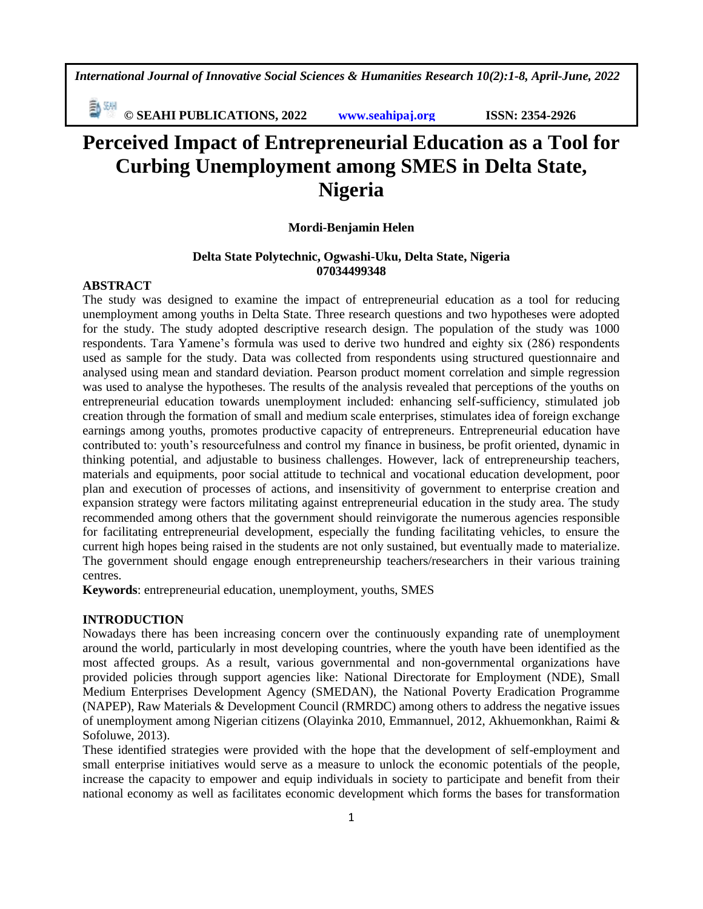**E** *CON* **EXERCISE <b>EXERCISE CONSTREMENTAL ISSN: 2354-2926** 

# **Perceived Impact of Entrepreneurial Education as a Tool for Curbing Unemployment among SMES in Delta State, Nigeria**

### **Mordi-Benjamin Helen**

## **Delta State Polytechnic, Ogwashi-Uku, Delta State, Nigeria 07034499348**

# **ABSTRACT**

The study was designed to examine the impact of entrepreneurial education as a tool for reducing unemployment among youths in Delta State. Three research questions and two hypotheses were adopted for the study. The study adopted descriptive research design. The population of the study was 1000 respondents. Tara Yamene's formula was used to derive two hundred and eighty six (286) respondents used as sample for the study. Data was collected from respondents using structured questionnaire and analysed using mean and standard deviation. Pearson product moment correlation and simple regression was used to analyse the hypotheses. The results of the analysis revealed that perceptions of the youths on entrepreneurial education towards unemployment included: enhancing self-sufficiency, stimulated job creation through the formation of small and medium scale enterprises, stimulates idea of foreign exchange earnings among youths, promotes productive capacity of entrepreneurs. Entrepreneurial education have contributed to: youth's resourcefulness and control my finance in business, be profit oriented, dynamic in thinking potential, and adjustable to business challenges. However, lack of entrepreneurship teachers, materials and equipments, poor social attitude to technical and vocational education development, poor plan and execution of processes of actions, and insensitivity of government to enterprise creation and expansion strategy were factors militating against entrepreneurial education in the study area. The study recommended among others that the government should reinvigorate the numerous agencies responsible for facilitating entrepreneurial development, especially the funding facilitating vehicles, to ensure the current high hopes being raised in the students are not only sustained, but eventually made to materialize. The government should engage enough entrepreneurship teachers/researchers in their various training centres.

**Keywords**: entrepreneurial education, unemployment, youths, SMES

## **INTRODUCTION**

Nowadays there has been increasing concern over the continuously expanding rate of unemployment around the world, particularly in most developing countries, where the youth have been identified as the most affected groups. As a result, various governmental and non-governmental organizations have provided policies through support agencies like: National Directorate for Employment (NDE), Small Medium Enterprises Development Agency (SMEDAN), the National Poverty Eradication Programme (NAPEP), Raw Materials & Development Council (RMRDC) among others to address the negative issues of unemployment among Nigerian citizens (Olayinka 2010, Emmannuel, 2012, Akhuemonkhan, Raimi & Sofoluwe, 2013).

These identified strategies were provided with the hope that the development of self-employment and small enterprise initiatives would serve as a measure to unlock the economic potentials of the people, increase the capacity to empower and equip individuals in society to participate and benefit from their national economy as well as facilitates economic development which forms the bases for transformation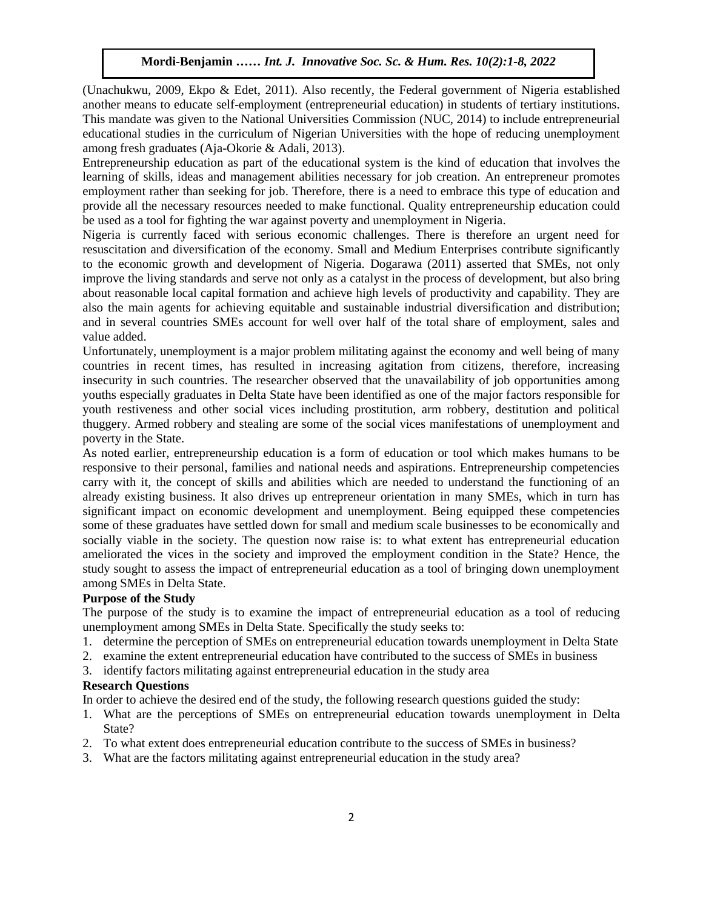(Unachukwu, 2009, Ekpo & Edet, 2011). Also recently, the Federal government of Nigeria established another means to educate self-employment (entrepreneurial education) in students of tertiary institutions. This mandate was given to the National Universities Commission (NUC, 2014) to include entrepreneurial educational studies in the curriculum of Nigerian Universities with the hope of reducing unemployment among fresh graduates (Aja-Okorie & Adali, 2013).

Entrepreneurship education as part of the educational system is the kind of education that involves the learning of skills, ideas and management abilities necessary for job creation. An entrepreneur promotes employment rather than seeking for job. Therefore, there is a need to embrace this type of education and provide all the necessary resources needed to make functional. Quality entrepreneurship education could be used as a tool for fighting the war against poverty and unemployment in Nigeria.

Nigeria is currently faced with serious economic challenges. There is therefore an urgent need for resuscitation and diversification of the economy. Small and Medium Enterprises contribute significantly to the economic growth and development of Nigeria. Dogarawa (2011) asserted that SMEs, not only improve the living standards and serve not only as a catalyst in the process of development, but also bring about reasonable local capital formation and achieve high levels of productivity and capability. They are also the main agents for achieving equitable and sustainable industrial diversification and distribution; and in several countries SMEs account for well over half of the total share of employment, sales and value added.

Unfortunately, unemployment is a major problem militating against the economy and well being of many countries in recent times, has resulted in increasing agitation from citizens, therefore, increasing insecurity in such countries. The researcher observed that the unavailability of job opportunities among youths especially graduates in Delta State have been identified as one of the major factors responsible for youth restiveness and other social vices including prostitution, arm robbery, destitution and political thuggery. Armed robbery and stealing are some of the social vices manifestations of unemployment and poverty in the State.

As noted earlier, entrepreneurship education is a form of education or tool which makes humans to be responsive to their personal, families and national needs and aspirations. Entrepreneurship competencies carry with it, the concept of skills and abilities which are needed to understand the functioning of an already existing business. It also drives up entrepreneur orientation in many SMEs, which in turn has significant impact on economic development and unemployment. Being equipped these competencies some of these graduates have settled down for small and medium scale businesses to be economically and socially viable in the society. The question now raise is: to what extent has entrepreneurial education ameliorated the vices in the society and improved the employment condition in the State? Hence, the study sought to assess the impact of entrepreneurial education as a tool of bringing down unemployment among SMEs in Delta State.

### **Purpose of the Study**

The purpose of the study is to examine the impact of entrepreneurial education as a tool of reducing unemployment among SMEs in Delta State. Specifically the study seeks to:

- 1. determine the perception of SMEs on entrepreneurial education towards unemployment in Delta State
- 2. examine the extent entrepreneurial education have contributed to the success of SMEs in business
- 3. identify factors militating against entrepreneurial education in the study area

## **Research Questions**

In order to achieve the desired end of the study, the following research questions guided the study:

- 1. What are the perceptions of SMEs on entrepreneurial education towards unemployment in Delta State?
- 2. To what extent does entrepreneurial education contribute to the success of SMEs in business?
- 3. What are the factors militating against entrepreneurial education in the study area?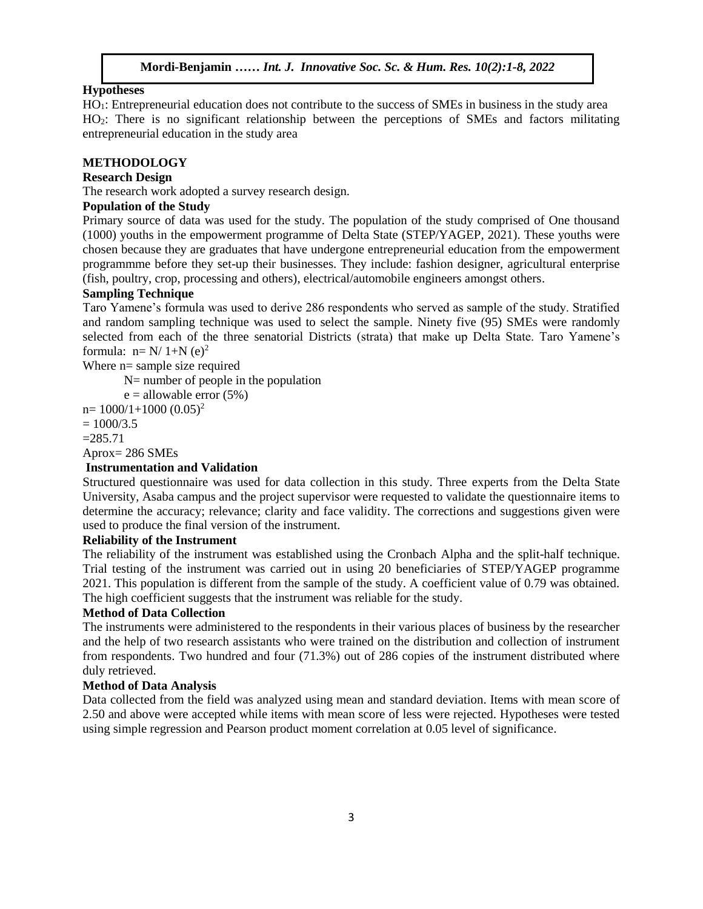## **Hypotheses**

HO1: Entrepreneurial education does not contribute to the success of SMEs in business in the study area  $HO_2$ : There is no significant relationship between the perceptions of SMEs and factors militating entrepreneurial education in the study area

### **METHODOLOGY**

# **Research Design**

**Research Design<br>The research work adopted a survey research design.** 

## **Population of the Study**

Primary source of data was used for the study. The population of the study comprised of One thousand (1000) youths in the empowerment programme of Delta State (STEP/YAGEP, 2021). These youths were  $(1000)$  youns in the empowerment programme or Dena State  $(3121/1 \text{ AOL1}, 2021)$ . These youns were chosen because they are graduates that have undergone entrepreneurial education from the empowerment programmme before they set-up their businesses. They include: fashion designer, agricultural enterprise (fish, poultry, crop, processing and others), electrical/automobile engineers amongst others.

## **Sampling Technique**

**Samping Technique**<br>Taro Yamene's formula was used to derive 286 respondents who served as sample of the study. Stratified and random sampling technique was used to select the sample. Ninety five (95) SMEs were randomly selected from each of the three senatorial Districts (strata) that make up Delta State. Taro Yamene's formula:  $n=N/1+N$  (e)<sup>2</sup> Where  $n =$  sample size required

N= number of people in the population

 $e =$  allowable error  $(5%)$ 

 $n= 1000/1+1000 (0.05)^2$  $\frac{\partial u}{\partial 2}$  5

 $= 1000/3.5$ 

 $=285.71$ 

Aprox= 286 SMEs

## **Instrumentation and Validation**

Instrumentation and vandation<br>Structured questionnaire was used for data collection in this study. Three experts from the Delta State University, Asaba campus and the project supervisor were requested to validate the questionnaire items to determine the accuracy; relevance; clarity and face validity. The corrections and suggestions given were used to produce the final version of the instrument.

# **Reliability of the Instrument**

The reliability of the instrument was established using the Cronbach Alpha and the split-half technique. Trial testing of the instrument was carried out in using 20 beneficiaries of STEP/YAGEP programme 2021. This population is different from the sample of the study. A coefficient value of 0.79 was obtained. The high coefficient suggests that the instrument was reliable for the study.

### **Method of Data Collection**

The instruments were administered to the respondents in their various places of business by the researcher and the help of two research assistants who were trained on the distribution and collection of instrument from respondents. Two hundred and four (71.3%) out of 286 copies of the instrument distributed where duly retrieved.

### **Method of Data Analysis**

Data collected from the field was analyzed using mean and standard deviation. Items with mean score of 2.50 and above were accepted while items with mean score of less were rejected. Hypotheses were tested using simple regression and Pearson product moment correlation at 0.05 level of significance.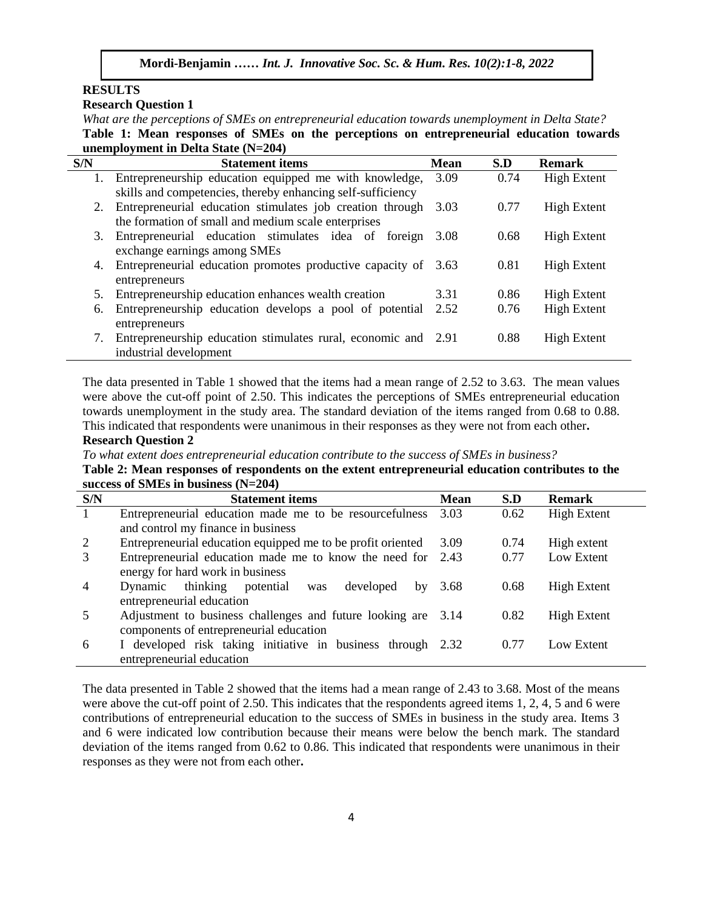# **RESULTS**

**Research Question 1**

What are the perceptions of SMEs on entrepreneurial education towards unemployment in Delta State? **Table 1: Mean responses of SMEs on the perceptions on entrepreneurial education towards unemployment in Delta State (N=204)**

| S/N | <b>Statement items</b>                                         | <b>Mean</b> | S.D  | <b>Remark</b>      |
|-----|----------------------------------------------------------------|-------------|------|--------------------|
|     | Entrepreneurship education equipped me with knowledge,         | 3.09        | 0.74 | <b>High Extent</b> |
|     | skills and competencies, thereby enhancing self-sufficiency    |             |      |                    |
| 2.  | Entrepreneurial education stimulates job creation through      | 3.03        | 0.77 | <b>High Extent</b> |
|     | the formation of small and medium scale enterprises            |             |      |                    |
| 3.  | Entrepreneurial education stimulates idea of foreign           | 3.08        | 0.68 | <b>High Extent</b> |
|     | exchange earnings among SMEs                                   |             |      |                    |
| 4.  | Entrepreneurial education promotes productive capacity of 3.63 |             | 0.81 | <b>High Extent</b> |
|     | entrepreneurs                                                  |             |      |                    |
| 5.  | Entrepreneurship education enhances wealth creation            | 3.31        | 0.86 | <b>High Extent</b> |
| 6.  | Entrepreneurship education develops a pool of potential        | 2.52        | 0.76 | <b>High Extent</b> |
|     | entrepreneurs                                                  |             |      |                    |
| 7.  | Entrepreneurship education stimulates rural, economic and 2.91 |             | 0.88 | <b>High Extent</b> |
|     | industrial development                                         |             |      |                    |

The data presented in Table 1 showed that the items had a mean range of 2.52 to 3.63. The mean values were above the cut-off point of 2.50. This indicates the perceptions of SMEs entrepreneurial education towards unemployment in the study area. The standard deviation of the items ranged from 0.68 to 0.88. This indicated that respondents were unanimous in their responses as they were not from each other**.**

### **Research Question 2**

*To what extent does entrepreneurial education contribute to the success of SMEs in business?*

Table 2: Mean responses of respondents on the extent entrepreneurial education contributes to the **success of SMEs in business (N=204)**

| $\mu$ are $\mu$ or $\mu$ and $\mu$ and $\mu$ and $\mu$ and $\mu$ |                                                               |             |      |                    |  |  |  |
|------------------------------------------------------------------|---------------------------------------------------------------|-------------|------|--------------------|--|--|--|
| S/N                                                              | <b>Statement items</b>                                        | <b>Mean</b> | S.D  | <b>Remark</b>      |  |  |  |
| $\mathbf{1}$                                                     | Entrepreneurial education made me to be resourcefulness       | 3.03        | 0.62 | <b>High Extent</b> |  |  |  |
|                                                                  | and control my finance in business                            |             |      |                    |  |  |  |
| 2                                                                | Entrepreneurial education equipped me to be profit oriented   | 3.09        | 0.74 | High extent        |  |  |  |
| 3                                                                | Entrepreneurial education made me to know the need for 2.43   |             | 0.77 | Low Extent         |  |  |  |
|                                                                  | energy for hard work in business                              |             |      |                    |  |  |  |
| $\overline{4}$                                                   | thinking potential<br>Dynamic<br>developed<br>was<br>by       | 3.68        | 0.68 | <b>High Extent</b> |  |  |  |
|                                                                  | entrepreneurial education                                     |             |      |                    |  |  |  |
|                                                                  | Adjustment to business challenges and future looking are 3.14 |             | 0.82 | <b>High Extent</b> |  |  |  |
|                                                                  | components of entrepreneurial education                       |             |      |                    |  |  |  |
| 6                                                                | I developed risk taking initiative in business through 2.32   |             | 0.77 | Low Extent         |  |  |  |
|                                                                  | entrepreneurial education                                     |             |      |                    |  |  |  |

The data presented in Table 2 showed that the items had a mean range of 2.43 to 3.68. Most of the means were above the cut-off point of 2.50. This indicates that the respondents agreed items 1, 2, 4, 5 and 6 were contributions of entrepreneurial education to the success of SMEs in business in the study area. Items 3 and 6 were indicated low contribution because their means were below the bench mark. The standard deviation of the items ranged from 0.62 to 0.86. This indicated that respondents were unanimous in their responses as they were not from each other**.**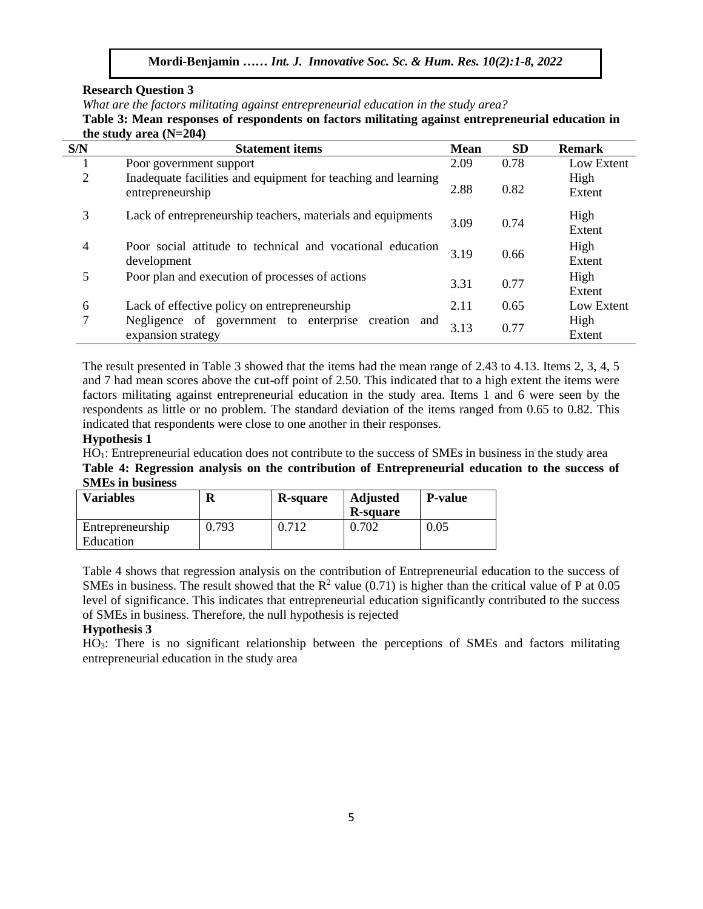**Research Question 3**

*What are the factors militating against entrepreneurial education in the study area?*

Table 3: Mean responses of respondents on factors militating against entrepreneurial education in **the study area (N=204)** 

| S/N            | <b>Statement items</b>                                                            | <b>Mean</b> | <b>SD</b> | <b>Remark</b>  |
|----------------|-----------------------------------------------------------------------------------|-------------|-----------|----------------|
|                | Poor government support                                                           | 2.09        | 0.78      | Low Extent     |
| $\overline{2}$ | Inadequate facilities and equipment for teaching and learning<br>entrepreneurship | 2.88        | 0.82      | High<br>Extent |
| 3              | Lack of entrepreneurship teachers, materials and equipments                       | 3.09        | 0.74      | High<br>Extent |
| 4              | Poor social attitude to technical and vocational education<br>development         | 3.19        | 0.66      | High<br>Extent |
| 5              | Poor plan and execution of processes of actions                                   | 3.31        | 0.77      | High<br>Extent |
| 6              | Lack of effective policy on entrepreneurship                                      | 2.11        | 0.65      | Low Extent     |
| 7              | Negligence of government to enterprise<br>creation and<br>expansion strategy      | 3.13        | 0.77      | High<br>Extent |

The result presented in Table 3 showed that the items had the mean range of 2.43 to 4.13. Items 2, 3, 4, 5 and 7 had mean scores above the cut-off point of 2.50. This indicated that to a high extent the items were factors militating against entrepreneurial education in the study area. Items 1 and 6 were seen by the respondents as little or no problem. The standard deviation of the items ranged from 0.65 to 0.82. This indicated that respondents were close to one another in their responses.

## **Hypothesis 1**

HO1: Entrepreneurial education does not contribute to the success of SMEs in business in the study area Table 4: Regression analysis on the contribution of Entrepreneurial education to the success of **SMEs in business**

| <b>Variables</b>              | R     | R-square | <b>Adjusted</b><br><b>R-square</b> | <b>P-value</b> |
|-------------------------------|-------|----------|------------------------------------|----------------|
| Entrepreneurship<br>Education | 0.793 |          | 0.702                              | $\rm 0.05$     |

Table 4 shows that regression analysis on the contribution of Entrepreneurial education to the success of SMEs in business. The result showed that the  $R^2$  value (0.71) is higher than the critical value of P at 0.05 level of significance. This indicates that entrepreneurial education significantly contributed to the success of SMEs in business. Therefore, the null hypothesis is rejected

# **Hypothesis 3**

HO3: There is no significant relationship between the perceptions of SMEs and factors militating entrepreneurial education in the study area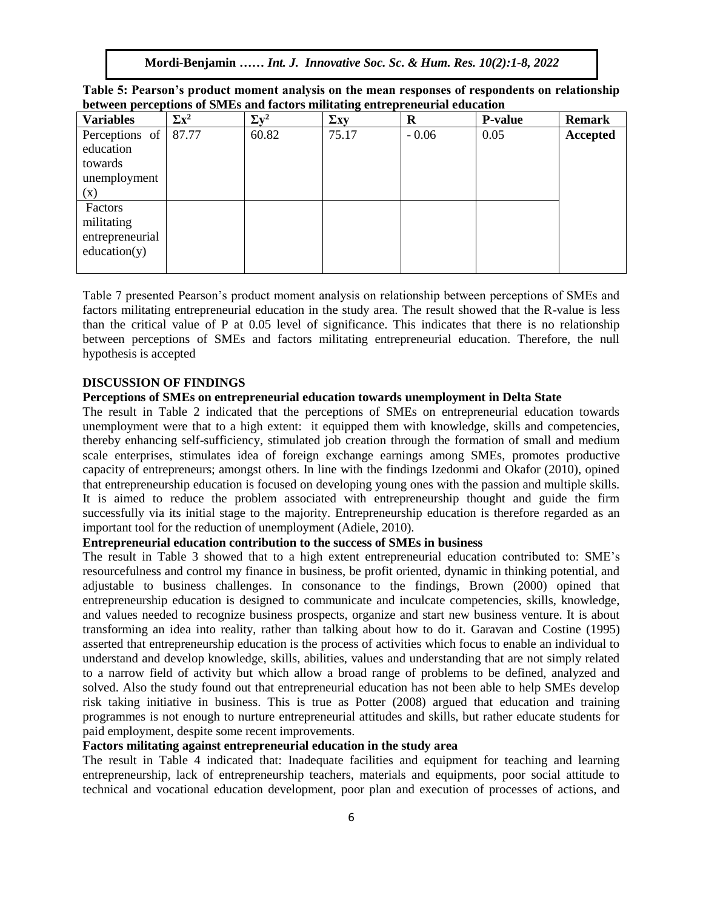| Table 5: Pearson's product moment analysis on the mean responses of respondents on relationship |  |
|-------------------------------------------------------------------------------------------------|--|
| between perceptions of SMEs and factors militating entrepreneurial education                    |  |

| <b>Variables</b> | $\Sigma x^2$ | $\Sigma v^2$ | $\Sigma$ xy | $\mathbf R$ | <b>P-value</b> | <b>Remark</b> |
|------------------|--------------|--------------|-------------|-------------|----------------|---------------|
| Perceptions of   | 87.77        | 60.82        | 75.17       | $-0.06$     | 0.05           | Accepted      |
| education        |              |              |             |             |                |               |
| towards          |              |              |             |             |                |               |
| unemployment     |              |              |             |             |                |               |
| (x)              |              |              |             |             |                |               |
| Factors          |              |              |             |             |                |               |
| militating       |              |              |             |             |                |               |
| entrepreneurial  |              |              |             |             |                |               |
| education(y)     |              |              |             |             |                |               |
|                  |              |              |             |             |                |               |

Table 7 presented Pearson's product moment analysis on relationship between perceptions of SMEs and factors militating entrepreneurial education in the study area. The result showed that the R-value is less than the critical value of P at 0.05 level of significance. This indicates that there is no relationship between perceptions of SMEs and factors militating entrepreneurial education. Therefore, the null hypothesis is accepted **Exercise** 

### **DISCUSSION OF FINDINGS**

### **Perceptions of SMEs on entrepreneurial education towards unemployment in Delta State**

The result in Table 2 indicated that the perceptions of SMEs on entrepreneurial education towards unemployment were that to a high extent: it equipped them with knowledge, skills and competencies, thereby enhancing self-sufficiency, stimulated job creation through the formation of small and medium scale enterprises, stimulates idea of foreign exchange earnings among SMEs, promotes productive capacity of entrepreneurs; amongst others. In line with the findings Izedonmi and Okafor (2010), opined that entrepreneurship education is focused on developing young ones with the passion and multiple skills. It is aimed to reduce the problem associated with entrepreneurship thought and guide the firm successfully via its initial stage to the majority. Entrepreneurship education is therefore regarded as an important tool for the reduction of unemployment (Adiele, 2010).

## **Entrepreneurial education contribution to the success of SMEs in business**

The result in Table 3 showed that to a high extent entrepreneurial education contributed to: SME's resourcefulness and control my finance in business, be profit oriented, dynamic in thinking potential, and adjustable to business challenges. In consonance to the findings, Brown (2000) opined that entrepreneurship education is designed to communicate and inculcate competencies, skills, knowledge, and values needed to recognize business prospects, organize and start new business venture. It is about transforming an idea into reality, rather than talking about how to do it. Garavan and Costine (1995) asserted that entrepreneurship education is the process of activities which focus to enable an individual to understand and develop knowledge, skills, abilities, values and understanding that are not simply related to a narrow field of activity but which allow a broad range of problems to be defined, analyzed and solved. Also the study found out that entrepreneurial education has not been able to help SMEs develop risk taking initiative in business. This is true as Potter (2008) argued that education and training programmes is not enough to nurture entrepreneurial attitudes and skills, but rather educate students for paid employment, despite some recent improvements.

# **Factors militating against entrepreneurial education in the study area**

The result in Table 4 indicated that: Inadequate facilities and equipment for teaching and learning entrepreneurship, lack of entrepreneurship teachers, materials and equipments, poor social attitude to technical and vocational education development, poor plan and execution of processes of actions, and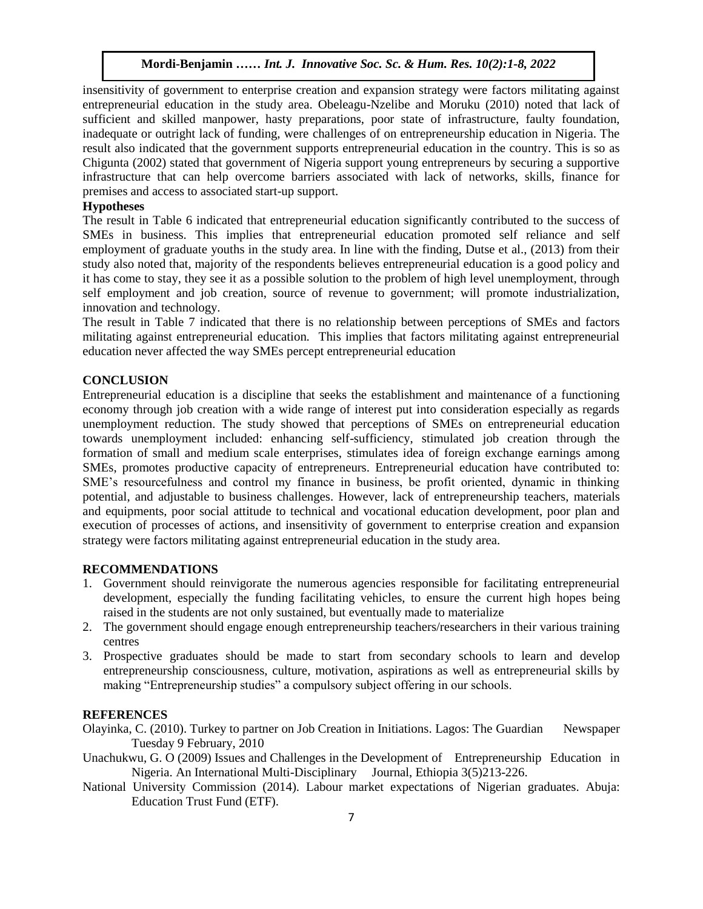insensitivity of government to enterprise creation and expansion strategy were factors militating against entrepreneurial education in the study area. Obeleagu-Nzelibe and Moruku (2010) noted that lack of sufficient and skilled manpower, hasty preparations, poor state of infrastructure, faulty foundation, inadequate or outright lack of funding, were challenges of on entrepreneurship education in Nigeria. The result also indicated that the government supports entrepreneurial education in the country. This is so as Chigunta (2002) stated that government of Nigeria support young entrepreneurs by securing a supportive infrastructure that can help overcome barriers associated with lack of networks, skills, finance for premises and access to associated start-up support.

### **Hypotheses**

The result in Table 6 indicated that entrepreneurial education significantly contributed to the success of SMEs in business. This implies that entrepreneurial education promoted self reliance and self employment of graduate youths in the study area. In line with the finding, Dutse et al., (2013) from their study also noted that, majority of the respondents believes entrepreneurial education is a good policy and it has come to stay, they see it as a possible solution to the problem of high level unemployment, through self employment and job creation, source of revenue to government; will promote industrialization, innovation and technology.

The result in Table 7 indicated that there is no relationship between perceptions of SMEs and factors militating against entrepreneurial education. This implies that factors militating against entrepreneurial education never affected the way SMEs percept entrepreneurial education

## **CONCLUSION**

Entrepreneurial education is a discipline that seeks the establishment and maintenance of a functioning economy through job creation with a wide range of interest put into consideration especially as regards unemployment reduction. The study showed that perceptions of SMEs on entrepreneurial education towards unemployment included: enhancing self-sufficiency, stimulated job creation through the formation of small and medium scale enterprises, stimulates idea of foreign exchange earnings among SMEs, promotes productive capacity of entrepreneurs. Entrepreneurial education have contributed to: SME's resourcefulness and control my finance in business, be profit oriented, dynamic in thinking potential, and adjustable to business challenges. However, lack of entrepreneurship teachers, materials and equipments, poor social attitude to technical and vocational education development, poor plan and execution of processes of actions, and insensitivity of government to enterprise creation and expansion strategy were factors militating against entrepreneurial education in the study area.

## **RECOMMENDATIONS**

- 1. Government should reinvigorate the numerous agencies responsible for facilitating entrepreneurial development, especially the funding facilitating vehicles, to ensure the current high hopes being raised in the students are not only sustained, but eventually made to materialize
- 2. The government should engage enough entrepreneurship teachers/researchers in their various training centres
- 3. Prospective graduates should be made to start from secondary schools to learn and develop entrepreneurship consciousness, culture, motivation, aspirations as well as entrepreneurial skills by making "Entrepreneurship studies" a compulsory subject offering in our schools.

## **REFERENCES**

- Olayinka, C. (2010). Turkey to partner on Job Creation in Initiations. Lagos: The Guardian Newspaper Tuesday 9 February, 2010
- Unachukwu, G. O (2009) Issues and Challenges in the Development of Entrepreneurship Education in Nigeria. An International Multi-Disciplinary Journal, Ethiopia 3(5)213-226.
- National University Commission (2014). Labour market expectations of Nigerian graduates. Abuja: Education Trust Fund (ETF).